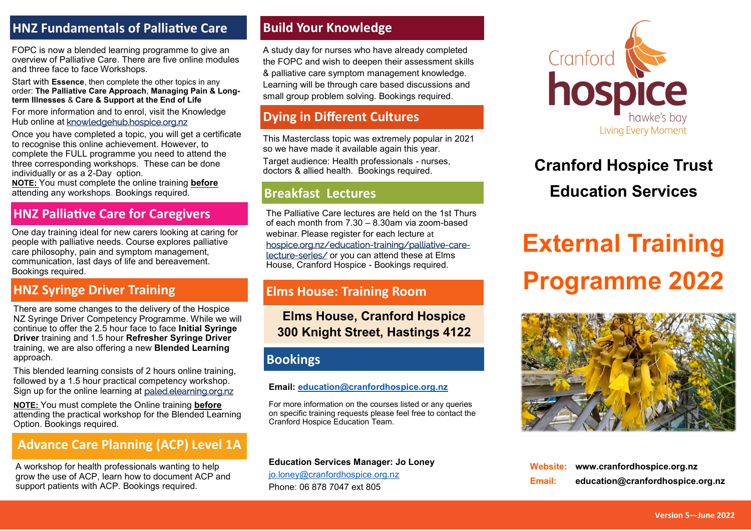#### **HNZ Fundamentals of Palliative Care**

FOPC is now a blended learning programme to give an overview of Palliative Care. There are five online modules and three face to face Workshops.

Start with **Essence**, then complete the other topics in any order: **The Palliative Care Approach**, **Managing Pain & Longterm Illnesses** & **Care & Support at the End of Life** 

For more information and to enrol, visit the Knowledge Hub online at [knowledgehub.hospice.org.nz](https://knowledgehub.hospice.org.nz/)

Once you have completed a topic, you will get a certificate to recognise this online achievement. However, to complete the FULL programme you need to attend the three corresponding workshops. These can be done individually or as a 2-Day option.

**NOTE:** You must complete the online training **before** attending any workshops. Bookings required.

One day training ideal for new carers looking at caring for people with palliative needs. Course explores palliative care philosophy, pain and symptom management, communication, last days of life and bereavement. Bookings required.

#### **HNZ Syringe Driver Training**

There are some changes to the delivery of the Hospice NZ Syringe Driver Competency Programme. While we will continue to offer the 2.5 hour face to face **Initial Syringe Driver** training and 1.5 hour **Refresher Syringe Driver**  training, we are also offering a new **Blended Learning** approach.

This blended learning consists of 2 hours online training, followed by a 1.5 hour practical competency workshop. Sign up for the online learning at [paled.elearning.org.nz](https://paled.elearning.org.nz/login/index.php)

**NOTE:** You must complete the Online training **before** attending the practical workshop for the Blended Learning Option. Bookings required.

### **Advance Care Planning (ACP) Level 1A**

A workshop for health professionals wanting to help grow the use of ACP, learn how to document ACP and support patients with ACP. Bookings required.

#### **Build Your Knowledge**

A study day for nurses who have already completed the FOPC and wish to deepen their assessment skills & palliative care symptom management knowledge. Learning will be through care based discussions and small group problem solving. Bookings required.

### **Dying in Different Cultures**

This Masterclass topic was extremely popular in 2021 so we have made it available again this year.

Target audience: Health professionals - nurses, doctors & allied health. Bookings required.

#### **Breakfast Lectures**

**HNZ Palliative Care for Caregivers** The Palliative Care lectures are held on the 1st Thurs of each month from 7.30 – 8.30am via zoom-based webinar. Please register for each lecture at [hospice.org.nz/education](https://www.hospice.org.nz/education-training/palliative-care-lecture-series/)-training/palliative-carelecture-[series/](https://www.hospice.org.nz/education-training/palliative-care-lecture-series/) or you can attend these at Elms House, Cranford Hospice - Bookings required.

#### **Elms House: Training Room**

**Elms House, Cranford Hospice 300 Knight Street, Hastings 4122**

#### **Bookings**

#### **Email: [education@cranfordhospice.org.nz](mailto:joanna.gibb@cranfordhospice.org.nz)**

For more information on the courses listed or any queries on specific training requests please feel free to contact the Cranford Hospice Education Team.

**Education Services Manager: Jo Loney** 

[jo.loney@cranfordhospice.org.nz](mailto:jo.loney@cranfordhospice.org.nz) Phone: 06 878 7047 ext 805



## **Cranford Hospice Trust Education Services**

# **External Training Programme 2022**



**Website: www.cranfordhospice.org.nz Email: [education@cranfordhospice.org.nz](mailto:joanna.gibb@cranfordhospice.org.nz)**